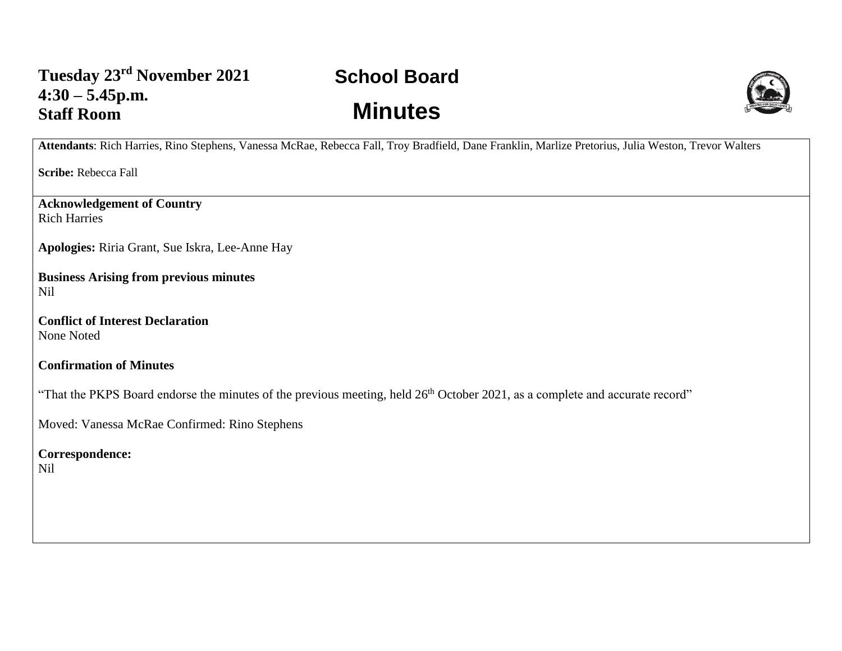## **School Board Minutes**



**Attendants**: Rich Harries, Rino Stephens, Vanessa McRae, Rebecca Fall, Troy Bradfield, Dane Franklin, Marlize Pretorius, Julia Weston, Trevor Walters

**Scribe:** Rebecca Fall

**Acknowledgement of Country** Rich Harries

**Apologies:** Riria Grant, Sue Iskra, Lee-Anne Hay

**Business Arising from previous minutes** Nil

**Conflict of Interest Declaration** None Noted

**Confirmation of Minutes** 

"That the PKPS Board endorse the minutes of the previous meeting, held 26<sup>th</sup> October 2021, as a complete and accurate record"

Moved: Vanessa McRae Confirmed: Rino Stephens

**Correspondence:**  Nil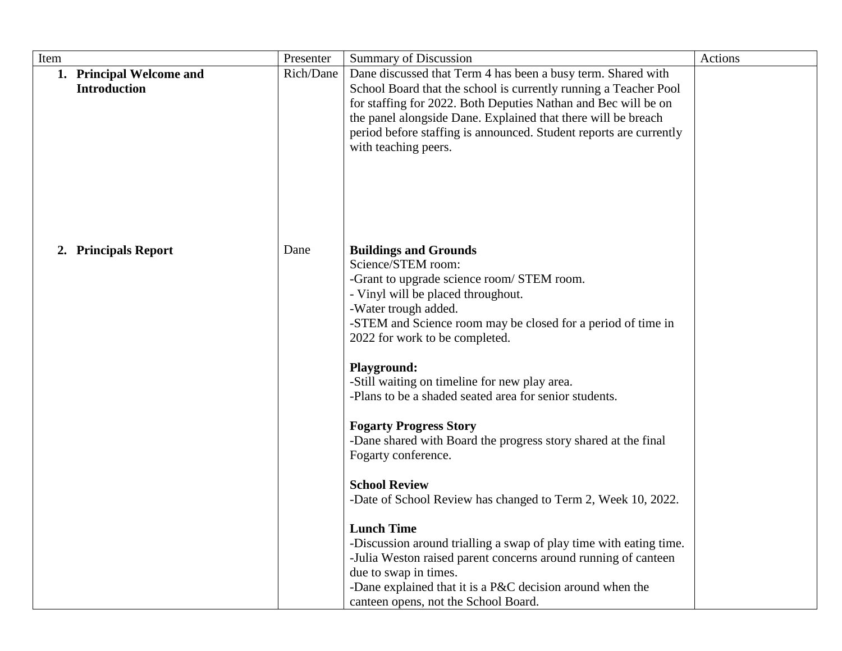| Item |                                                 | Presenter | <b>Summary of Discussion</b>                                                                                                     | Actions |
|------|-------------------------------------------------|-----------|----------------------------------------------------------------------------------------------------------------------------------|---------|
|      | 1. Principal Welcome and<br><b>Introduction</b> | Rich/Dane | Dane discussed that Term 4 has been a busy term. Shared with<br>School Board that the school is currently running a Teacher Pool |         |
|      |                                                 |           | for staffing for 2022. Both Deputies Nathan and Bec will be on                                                                   |         |
|      |                                                 |           | the panel alongside Dane. Explained that there will be breach                                                                    |         |
|      |                                                 |           | period before staffing is announced. Student reports are currently                                                               |         |
|      |                                                 |           | with teaching peers.                                                                                                             |         |
|      |                                                 |           |                                                                                                                                  |         |
|      |                                                 |           |                                                                                                                                  |         |
|      |                                                 |           |                                                                                                                                  |         |
|      |                                                 |           |                                                                                                                                  |         |
|      |                                                 |           |                                                                                                                                  |         |
|      | 2. Principals Report                            | Dane      | <b>Buildings and Grounds</b>                                                                                                     |         |
|      |                                                 |           | Science/STEM room:                                                                                                               |         |
|      |                                                 |           | -Grant to upgrade science room/ STEM room.                                                                                       |         |
|      |                                                 |           | - Vinyl will be placed throughout.                                                                                               |         |
|      |                                                 |           | -Water trough added.                                                                                                             |         |
|      |                                                 |           | -STEM and Science room may be closed for a period of time in                                                                     |         |
|      |                                                 |           | 2022 for work to be completed.                                                                                                   |         |
|      |                                                 |           | <b>Playground:</b>                                                                                                               |         |
|      |                                                 |           | -Still waiting on timeline for new play area.                                                                                    |         |
|      |                                                 |           | -Plans to be a shaded seated area for senior students.                                                                           |         |
|      |                                                 |           |                                                                                                                                  |         |
|      |                                                 |           | <b>Fogarty Progress Story</b>                                                                                                    |         |
|      |                                                 |           | -Dane shared with Board the progress story shared at the final                                                                   |         |
|      |                                                 |           | Fogarty conference.                                                                                                              |         |
|      |                                                 |           | <b>School Review</b>                                                                                                             |         |
|      |                                                 |           | -Date of School Review has changed to Term 2, Week 10, 2022.                                                                     |         |
|      |                                                 |           |                                                                                                                                  |         |
|      |                                                 |           | <b>Lunch Time</b>                                                                                                                |         |
|      |                                                 |           | -Discussion around trialling a swap of play time with eating time.                                                               |         |
|      |                                                 |           | -Julia Weston raised parent concerns around running of canteen                                                                   |         |
|      |                                                 |           | due to swap in times.                                                                                                            |         |
|      |                                                 |           | -Dane explained that it is a P&C decision around when the<br>canteen opens, not the School Board.                                |         |
|      |                                                 |           |                                                                                                                                  |         |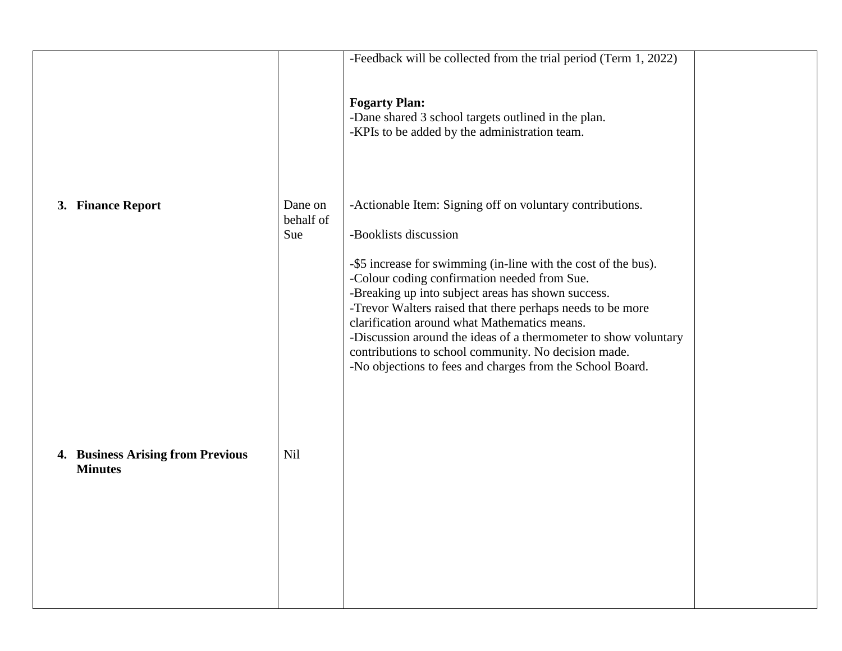|                                                     |                             | -Feedback will be collected from the trial period (Term $1, 2022$ )<br><b>Fogarty Plan:</b><br>-Dane shared 3 school targets outlined in the plan.<br>-KPIs to be added by the administration team.                                                                                                                                                                                                                                                                                                                                                              |  |
|-----------------------------------------------------|-----------------------------|------------------------------------------------------------------------------------------------------------------------------------------------------------------------------------------------------------------------------------------------------------------------------------------------------------------------------------------------------------------------------------------------------------------------------------------------------------------------------------------------------------------------------------------------------------------|--|
| 3. Finance Report                                   | Dane on<br>behalf of<br>Sue | -Actionable Item: Signing off on voluntary contributions.<br>-Booklists discussion<br>-\$5 increase for swimming (in-line with the cost of the bus).<br>-Colour coding confirmation needed from Sue.<br>-Breaking up into subject areas has shown success.<br>-Trevor Walters raised that there perhaps needs to be more<br>clarification around what Mathematics means.<br>-Discussion around the ideas of a thermometer to show voluntary<br>contributions to school community. No decision made.<br>-No objections to fees and charges from the School Board. |  |
| 4. Business Arising from Previous<br><b>Minutes</b> | Nil                         |                                                                                                                                                                                                                                                                                                                                                                                                                                                                                                                                                                  |  |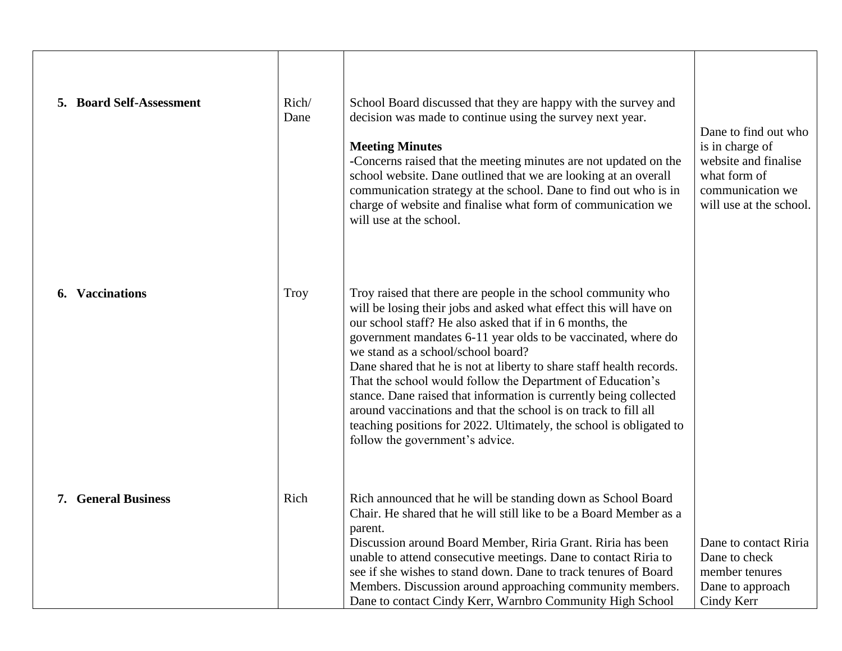| 5. Board Self-Assessment   | Rich/<br>Dane | School Board discussed that they are happy with the survey and<br>decision was made to continue using the survey next year.<br><b>Meeting Minutes</b><br>-Concerns raised that the meeting minutes are not updated on the<br>school website. Dane outlined that we are looking at an overall<br>communication strategy at the school. Dane to find out who is in<br>charge of website and finalise what form of communication we<br>will use at the school.                                                                                                                                                                                                                                   | Dane to find out who<br>is in charge of<br>website and finalise<br>what form of<br>communication we<br>will use at the school. |
|----------------------------|---------------|-----------------------------------------------------------------------------------------------------------------------------------------------------------------------------------------------------------------------------------------------------------------------------------------------------------------------------------------------------------------------------------------------------------------------------------------------------------------------------------------------------------------------------------------------------------------------------------------------------------------------------------------------------------------------------------------------|--------------------------------------------------------------------------------------------------------------------------------|
| 6. Vaccinations            | Troy          | Troy raised that there are people in the school community who<br>will be losing their jobs and asked what effect this will have on<br>our school staff? He also asked that if in 6 months, the<br>government mandates 6-11 year olds to be vaccinated, where do<br>we stand as a school/school board?<br>Dane shared that he is not at liberty to share staff health records.<br>That the school would follow the Department of Education's<br>stance. Dane raised that information is currently being collected<br>around vaccinations and that the school is on track to fill all<br>teaching positions for 2022. Ultimately, the school is obligated to<br>follow the government's advice. |                                                                                                                                |
| <b>7. General Business</b> | Rich          | Rich announced that he will be standing down as School Board<br>Chair. He shared that he will still like to be a Board Member as a<br>parent.<br>Discussion around Board Member, Riria Grant. Riria has been<br>unable to attend consecutive meetings. Dane to contact Riria to<br>see if she wishes to stand down. Dane to track tenures of Board<br>Members. Discussion around approaching community members.<br>Dane to contact Cindy Kerr, Warnbro Community High School                                                                                                                                                                                                                  | Dane to contact Riria<br>Dane to check<br>member tenures<br>Dane to approach<br>Cindy Kerr                                     |